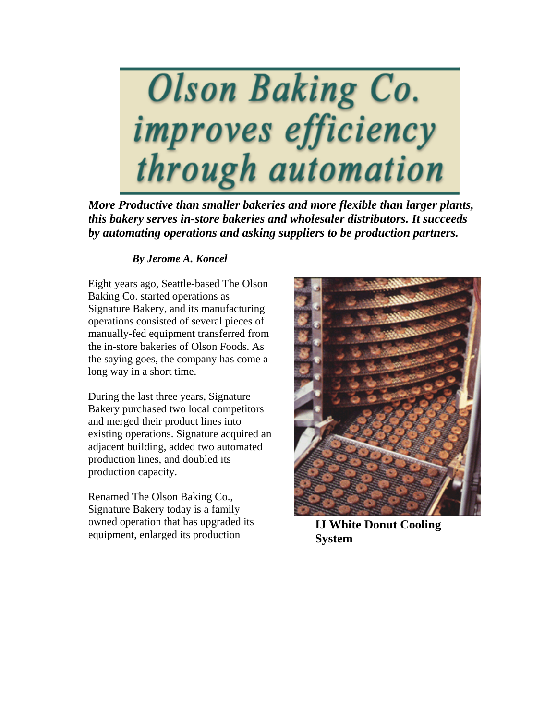

*More Productive than smaller bakeries and more flexible than larger plants, this bakery serves in-store bakeries and wholesaler distributors. It succeeds by automating operations and asking suppliers to be production partners.*

## *By Jerome A. Koncel*

Eight years ago, Seattle-based The Olson Baking Co. started operations as Signature Bakery, and its manufacturing operations consisted of several pieces of manually-fed equipment transferred from the in-store bakeries of Olson Foods. As the saying goes, the company has come a long way in a short time.

During the last three years, Signature Bakery purchased two local competitors and merged their product lines into existing operations. Signature acquired an adjacent building, added two automated production lines, and doubled its production capacity.

Renamed The Olson Baking Co., Signature Bakery today is a family owned operation that has upgraded its owned operation that has upgraded its **IJ White Donut Cooling**<br>equipment, enlarged its production **System** 



**System**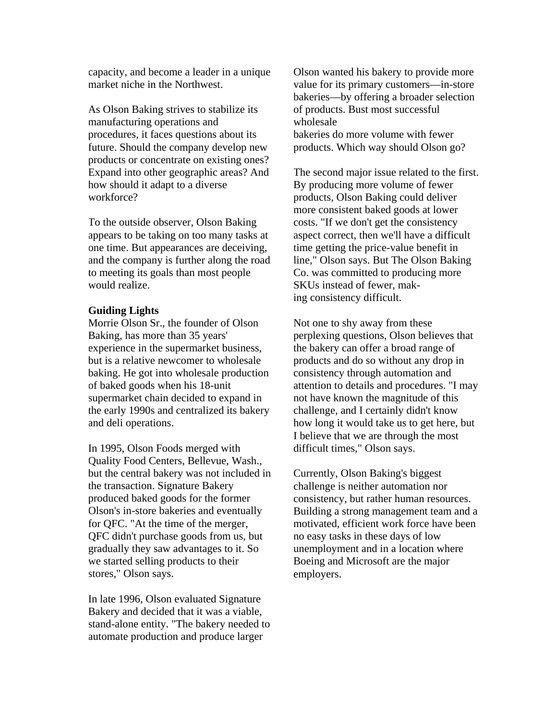capacity, and become a leader in a unique market niche in the Northwest.

As Olson Baking strives to stabilize its manufacturing operations and procedures, it faces questions about its future. Should the company develop new products or concentrate on existing ones? Expand into other geographic areas? And how should it adapt to a diverse workforce?

To the outside observer, Olson Baking appears to be taking on too many tasks at one time. But appearances are deceiving, and the company is further along the road to meeting its goals than most people would realize.

## **Guiding Lights**

Morrie Olson Sr., the founder of Olson Baking, has more than 35 years' experience in the supermarket business, but is a relative newcomer to wholesale baking. He got into wholesale production of baked goods when his 18-unit supermarket chain decided to expand in the early 1990s and centralized its bakery and deli operations.

In 1995, Olson Foods merged with Quality Food Centers, Bellevue, Wash., but the central bakery was not included in the transaction. Signature Bakery produced baked goods for the former Olson's in-store bakeries and eventually for QFC. "At the time of the merger, QFC didn't purchase goods from us, but gradually they saw advantages to it. So we started selling products to their stores," Olson says.

In late 1996, Olson evaluated Signature Bakery and decided that it was a viable, stand-alone entity. "The bakery needed to automate production and produce larger

Olson wanted his bakery to provide more value for its primary customers—in-store bakeries—by offering a broader selection of products. Bust most successful wholesale bakeries do more volume with fewer products. Which way should Olson go?

The second major issue related to the first. By producing more volume of fewer products, Olson Baking could deliver more consistent baked goods at lower costs. "If we don't get the consistency aspect correct, then we'll have a difficult time getting the price-value benefit in line," Olson says. But The Olson Baking Co. was committed to producing more SKUs instead of fewer, making consistency difficult.

Not one to shy away from these perplexing questions, Olson believes that the bakery can offer a broad range of products and do so without any drop in consistency through automation and attention to details and procedures. "I may not have known the magnitude of this challenge, and I certainly didn't know how long it would take us to get here, but I believe that we are through the most difficult times," Olson says.

Currently, Olson Baking's biggest challenge is neither automation nor consistency, but rather human resources. Building a strong management team and a motivated, efficient work force have been no easy tasks in these days of low unemployment and in a location where Boeing and Microsoft are the major employers.